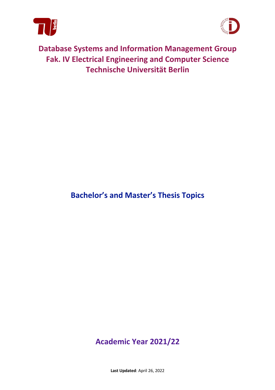



# **Database Systems and Information Management Group Fak. IV Electrical Engineering and Computer Science Technische Universität Berlin**

**Bachelor's and Master's Thesis Topics** 

# **Academic Year 2021/22**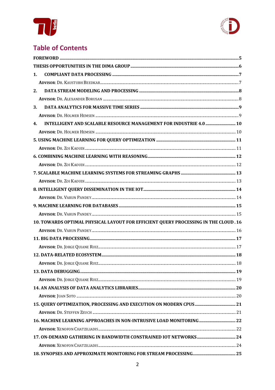



# **Table of Contents**

| 1.                                                                                  |  |
|-------------------------------------------------------------------------------------|--|
|                                                                                     |  |
| 2.                                                                                  |  |
|                                                                                     |  |
| 3.                                                                                  |  |
|                                                                                     |  |
| INTELLIGENT AND SCALABLE RESOURCE MANAGEMENT FOR INDUSTRIE 4.0  10<br>4.            |  |
|                                                                                     |  |
|                                                                                     |  |
|                                                                                     |  |
|                                                                                     |  |
|                                                                                     |  |
|                                                                                     |  |
|                                                                                     |  |
|                                                                                     |  |
|                                                                                     |  |
|                                                                                     |  |
|                                                                                     |  |
| 10. TOWARDS OPTIMAL PHYSICAL LAYOUT FOR EFFICIENT QUERY PROCESSING IN THE CLOUD. 16 |  |
|                                                                                     |  |
|                                                                                     |  |
|                                                                                     |  |
|                                                                                     |  |
|                                                                                     |  |
|                                                                                     |  |
|                                                                                     |  |
|                                                                                     |  |
|                                                                                     |  |
|                                                                                     |  |
|                                                                                     |  |
| 16. MACHINE LEARNING APPROACHES IN NON-INTRUSIVE LOAD MONITORING  22                |  |
|                                                                                     |  |
|                                                                                     |  |
|                                                                                     |  |
|                                                                                     |  |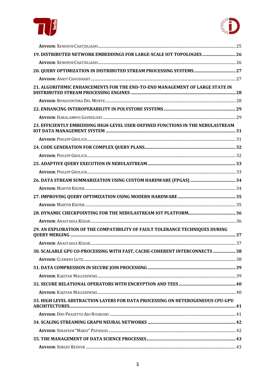



| 19. DISTRIBUTED NETWORK EMBEDDINGS FOR LARGE-SCALE IOT TOPOLOGIES  26           |  |
|---------------------------------------------------------------------------------|--|
|                                                                                 |  |
|                                                                                 |  |
|                                                                                 |  |
| 21. ALGORITHMIC ENHANCEMENTS FOR THE END-TO-END MANAGEMENT OF LARGE STATE IN    |  |
|                                                                                 |  |
|                                                                                 |  |
|                                                                                 |  |
| 23. EFFICIENTLY EMBEDDING HIGH-LEVEL USER-DEFINED FUNCTIONS IN THE NEBULASTREAM |  |
|                                                                                 |  |
|                                                                                 |  |
|                                                                                 |  |
|                                                                                 |  |
|                                                                                 |  |
|                                                                                 |  |
|                                                                                 |  |
|                                                                                 |  |
|                                                                                 |  |
|                                                                                 |  |
|                                                                                 |  |
| 29. AN EXPLORATION OF THE COMPATIBILITY OF FAULT TOLERANCE TECHNIQUES DURING    |  |
|                                                                                 |  |
| 30. SCALABLE GPU CO-PROCESSING WITH FAST, CACHE-COHERENT INTERCONNECTS  38      |  |
|                                                                                 |  |
|                                                                                 |  |
|                                                                                 |  |
|                                                                                 |  |
|                                                                                 |  |
| 33. HIGH LEVEL ABSTRACTION LAYERS FOR DATA PROCESSING ON HETEROGENEOUS CPU-GPU  |  |
|                                                                                 |  |
|                                                                                 |  |
|                                                                                 |  |
|                                                                                 |  |
|                                                                                 |  |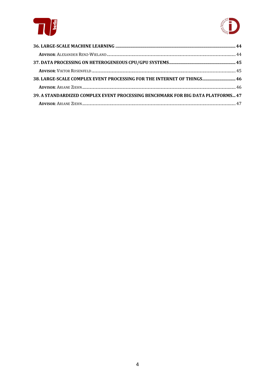



| 38. LARGE-SCALE COMPLEX EVENT PROCESSING FOR THE INTERNET OF THINGS 46          |  |
|---------------------------------------------------------------------------------|--|
|                                                                                 |  |
| 39. A STANDARDIZED COMPLEX EVENT PROCESSING BENCHMARK FOR BIG DATA PLATFORMS 47 |  |
|                                                                                 |  |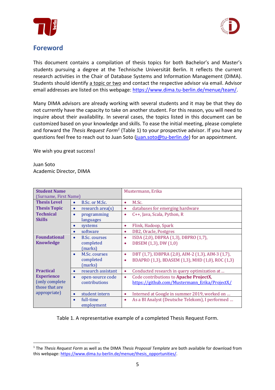



### **Foreword**

This document contains a compilation of thesis topics for both Bachelor's and Master's students pursuing a degree at the Technische Universität Berlin. It reflects the current research activities in the Chair of Database Systems and Information Management (DIMA). Students should identify a topic or two and contact the respective advisor via email. Advisor email addresses are listed on this webpage: https://www.dima.tu-berlin.de/menue/team/.

Many DIMA advisors are already working with several students and it may be that they do not currently have the capacity to take on another student. For this reason, you will need to inquire about their availability. In several cases, the topics listed in this document can be customized based on your knowledge and skills. To ease the initial meeting, please complete and forward the *Thesis Request Form1* (Table 1) to your prospective advisor. If you have any questions feel free to reach out to Juan Soto (juan.soto@tu-berlin.de) for an appointment.

We wish you great success!

Juan Soto Academic Director, DIMA

| <b>Student Name</b><br>(Surname, First Name)                          |                                                    | Mustermann, Erika                                                                                                   |
|-----------------------------------------------------------------------|----------------------------------------------------|---------------------------------------------------------------------------------------------------------------------|
| <b>Thesis Level</b>                                                   | B.Sc. or M.Sc.<br>$\bullet$                        | M.Sc.<br>$\bullet$                                                                                                  |
| <b>Thesis Topic</b>                                                   | research area(s)<br>٠                              | databases for emerging hardware<br>۰                                                                                |
| <b>Technical</b><br><b>Skills</b>                                     | programming<br>languages                           | C++, Java, Scala, Python, R<br>$\bullet$                                                                            |
| <b>Foundational</b><br><b>Knowledge</b>                               | systems<br>$\bullet$                               | Flink, Hadoop, Spark<br>۰                                                                                           |
|                                                                       | software<br>$\bullet$                              | DB2, Oracle, Postgres<br>۰                                                                                          |
|                                                                       | <b>B.Sc. courses</b><br>completed<br>(marks)       | ISDA (2,0), DBPRA (1,3), DBPRO (1,7),<br>$\bullet$<br>DBSEM (1,3), DW (1,0)                                         |
|                                                                       | M.Sc. courses<br>$\bullet$<br>completed<br>(marks) | DBT (1,7), IDBPRA (2,0), AIM-2 (1,3), AIM-3 (1,7),<br>$\bullet$<br>BDAPRO (1,3), BDASEM (1,3), MHD (1,0), ROC (1,3) |
| <b>Practical</b>                                                      | research assistant                                 | Conducted research in query optimization at<br>۰                                                                    |
| <b>Experience</b><br>(only complete<br>those that are<br>appropriate) | open-source code<br>$\bullet$<br>contributions     | Code contributions to Apache ProjectX,<br>۰<br>https://github.com/Mustermann Erika/ProjectX/                        |
|                                                                       | student intern<br>$\bullet$                        | Interned at Google in summer 2019, worked on<br>$\bullet$                                                           |
|                                                                       | full-time<br>$\bullet$<br>employment               | As a BI Analyst (Deutsche Telekom), I performed<br>$\bullet$                                                        |

Table 1. A representative example of a completed Thesis Request Form.

<sup>1</sup> The *Thesis Request Form* as well as the DIMA *Thesis Proposal Template* are both available for download from this webpage: https://www.dima.tu-berlin.de/menue/thesis\_opportunities/.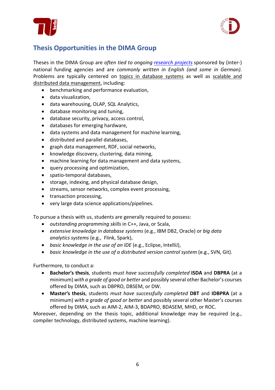



### **Thesis Opportunities in the DIMA Group**

Theses in the DIMA Group are *often tied to ongoing research projects* sponsored by (inter-) national funding agencies and are *commonly written in English (and some in German).*  Problems are typically centered on topics in database systems as well as scalable and distributed data management, including:

- benchmarking and performance evaluation,
- data visualization,
- data warehousing, OLAP, SQL Analytics,
- database monitoring and tuning,
- database security, privacy, access control,
- databases for emerging hardware,
- data systems and data management for machine learning,
- distributed and parallel databases,
- graph data management, RDF, social networks,
- knowledge discovery, clustering, data mining,
- machine learning for data management and data systems,
- query processing and optimization,
- spatio-temporal databases,
- storage, indexing, and physical database design,
- streams, sensor networks, complex event processing,
- transaction processing,
- very large data science applications/pipelines.

To pursue a thesis with us, students are generally required to possess:

- *outstanding programming skills* in C++, Java, or Scala,
- *extensive knowledge in database systems* (e.g., IBM DB2, Oracle) or *big data analytics systems* (e.g., Flink, Spark),
- *basic knowledge in the use of an IDE* (e.g., Eclipse, IntelliJ),
- *basic knowledge in the use of a distributed version control system* (e.g., SVN, Git).

Furthermore, to conduct a:

- **Bachelor's thesis**, students *must have successfully completed* **ISDA** and **DBPRA** (at a minimum) *with a grade of good or better* and possibly several other Bachelor's courses offered by DIMA, such as DBPRO, DBSEM, or DW.
- **Master's thesis**, students *must have successfully completed* **DBT** and **IDBPRA** (at a minimum) *with a grade of good or better* and possibly several other Master's courses offered by DIMA, such as AIM-2, AIM-3, BDAPRO, BDASEM, MHD, or ROC.

Moreover, depending on the thesis topic, additional knowledge may be required (e.g., compiler technology, distributed systems, machine learning).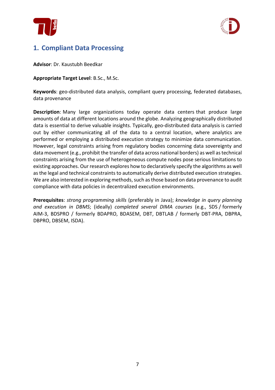



### **1. Compliant Data Processing**

**Advisor**: Dr. Kaustubh Beedkar

**Appropriate Target Level**: B.Sc., M.Sc.

**Keywords**: geo-distributed data analysis, compliant query processing, federated databases, data provenance

**Description**: Many large organizations today operate data centers that produce large amounts of data at different locations around the globe. Analyzing geographically distributed data is essential to derive valuable insights. Typically, geo-distributed data analysis is carried out by either communicating all of the data to a central location, where analytics are performed or employing a distributed execution strategy to minimize data communication. However, legal constraints arising from regulatory bodies concerning data sovereignty and data movement (e.g., prohibit the transfer of data across national borders) as well as technical constraints arising from the use of heterogeneous compute nodes pose serious limitations to existing approaches. Our research explores how to declaratively specify the algorithms as well as the legal and technical constraints to automatically derive distributed execution strategies. We are also interested in exploring methods, such as those based on data provenance to audit compliance with data policies in decentralized execution environments.

**Prerequisites**: *strong programming skills* (preferably in Java); *knowledge in query planning and execution in DBMS*; (ideally) *completed several DIMA courses* (e.g., SDS / formerly AIM-3, BDSPRO / formerly BDAPRO, BDASEM, DBT, DBTLAB / formerly DBT-PRA, DBPRA, DBPRO, DBSEM, ISDA).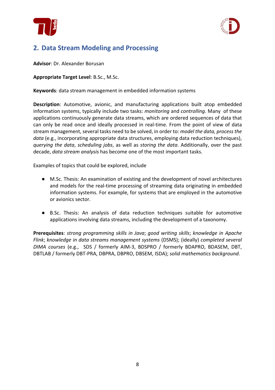



## **2. Data Stream Modeling and Processing**

**Advisor**: Dr. Alexander Borusan

**Appropriate Target Level**: B.Sc., M.Sc.

**Keywords**: data stream management in embedded information systems

**Description**: Automotive, avionic, and manufacturing applications built atop embedded information systems, typically include two tasks: *monitoring* and *controlling*. Many of these applications continuously generate data streams, which are ordered sequences of data that can only be read once and ideally processed in real-time. From the point of view of data stream management, several tasks need to be solved, in order to: *model the data, processthe data* (e.g., incorporating appropriate data structures, employing data reduction techniques), *querying the data*, *scheduling jobs*, as well as *storing the data*. Additionally, over the past decade, *data stream analysis* has become one of the most important tasks.

Examples of topics that could be explored, include

- M.Sc. Thesis: An examination of existing and the development of novel architectures and models for the real-time processing of streaming data originating in embedded information systems. For example, for systems that are employed in the automotive or avionics sector.
- B.Sc. Thesis: An analysis of data reduction techniques suitable for automotive applications involving data streams, including the development of a taxonomy.

**Prerequisites**: *strong programming skills in Java*; *good writing skills*; *knowledge in Apache Flink*; *knowledge in data streams management systems* (DSMS); (ideally) *completed several DIMA courses* (e.g., SDS / formerly AIM-3, BDSPRO / formerly BDAPRO, BDASEM, DBT, DBTLAB / formerly DBT-PRA, DBPRA, DBPRO, DBSEM, ISDA); *solid mathematics background*.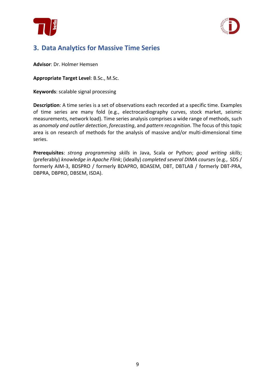



### **3. Data Analytics for Massive Time Series**

**Advisor**: Dr. Holmer Hemsen

**Appropriate Target Level**: B.Sc., M.Sc.

**Keywords**: scalable signal processing

**Description**: A time series is a set of observations each recorded at a specific time. Examples of time series are many fold (e.g., electrocardiography curves, stock market, seismic measurements, network load). Time series analysis comprises a wide range of methods, such as *anomaly and outlier detection*, *forecasting*, and *pattern recognition*. The focus of this topic area is on research of methods for the analysis of massive and/or multi-dimensional time series.

**Prerequisites**: *strong programming skills* in Java, Scala or Python; *good writing skills*; (preferably) *knowledge in Apache Flink*; (ideally) *completed several DIMA courses* (e.g., SDS / formerly AIM-3, BDSPRO / formerly BDAPRO, BDASEM, DBT, DBTLAB / formerly DBT-PRA, DBPRA, DBPRO, DBSEM, ISDA).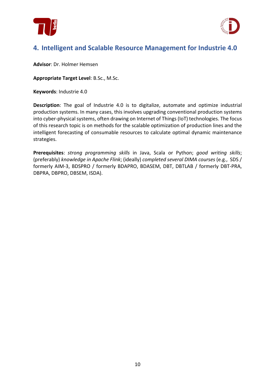



### **4. Intelligent and Scalable Resource Management for Industrie 4.0**

**Advisor**: Dr. Holmer Hemsen

**Appropriate Target Level**: B.Sc., M.Sc.

**Keywords**: Industrie 4.0

**Description**: The goal of Industrie 4.0 is to digitalize, automate and optimize industrial production systems. In many cases, this involves upgrading conventional production systems into cyber-physical systems, often drawing on Internet of Things (IoT) technologies. The focus of this research topic is on methods for the scalable optimization of production lines and the intelligent forecasting of consumable resources to calculate optimal dynamic maintenance strategies.

**Prerequisites**: *strong programming skills* in Java, Scala or Python; *good writing skills*; (preferably) *knowledge in Apache Flink*; (ideally) *completed several DIMA courses* (e.g., SDS / formerly AIM-3, BDSPRO / formerly BDAPRO, BDASEM, DBT, DBTLAB / formerly DBT-PRA, DBPRA, DBPRO, DBSEM, ISDA).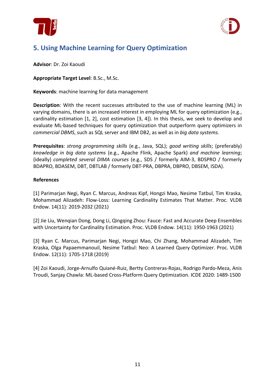



# **5. Using Machine Learning for Query Optimization**

**Advisor**: Dr. Zoi Kaoudi

**Appropriate Target Level**: B.Sc., M.Sc.

**Keywords**: machine learning for data management

**Description**: With the recent successes attributed to the use of machine learning (ML) in varying domains, there is an increased interest in employing ML for query optimization (e.g., cardinality estimation [1, 2], cost estimation [3, 4]). In this thesis, we seek to develop and evaluate ML-based techniques for query optimization that outperform query optimizers in *commercial DBMS*, such as SQL server and IBM DB2, as well as in *big data systems*.

**Prerequisites**: *strong programming skills* (e.g., Java, SQL); *good writing skills*; (preferably) *knowledge in big data systems* (e.g., Apache Flink, Apache Spark) *and machine learning*; (ideally) *completed several DIMA courses* (e.g., SDS / formerly AIM-3, BDSPRO / formerly BDAPRO, BDASEM, DBT, DBTLAB / formerly DBT-PRA, DBPRA, DBPRO, DBSEM, ISDA).

#### **References**

[1] Parimarjan Negi, Ryan C. Marcus, Andreas Kipf, Hongzi Mao, Nesime Tatbul, Tim Kraska, Mohammad Alizadeh: Flow-Loss: Learning Cardinality Estimates That Matter. Proc. VLDB Endow. 14(11): 2019-2032 (2021)

[2] Jie Liu, Wenqian Dong, Dong Li, Qingqing Zhou: Fauce: Fast and Accurate Deep Ensembles with Uncertainty for Cardinality Estimation. Proc. VLDB Endow. 14(11): 1950-1963 (2021)

[3] Ryan C. Marcus, Parimarjan Negi, Hongzi Mao, Chi Zhang, Mohammad Alizadeh, Tim Kraska, Olga Papaemmanouil, Nesime Tatbul: Neo: A Learned Query Optimizer. Proc. VLDB Endow. 12(11): 1705-1718 (2019)

[4] Zoi Kaoudi, Jorge-Arnulfo Quiané-Ruiz, Bertty Contreras-Rojas, Rodrigo Pardo-Meza, Anis Troudi, Sanjay Chawla: ML-based Cross-Platform Query Optimization. ICDE 2020: 1489-1500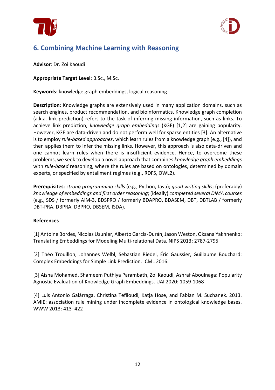



# **6. Combining Machine Learning with Reasoning**

**Advisor**: Dr. Zoi Kaoudi

**Appropriate Target Level**: B.Sc., M.Sc.

**Keywords**: knowledge graph embeddings, logical reasoning

**Description**: Knowledge graphs are extensively used in many application domains, such as search engines, product recommendation, and bioinformatics. Knowledge graph completion (a.k.a. link prediction) refers to the task of inferring missing information, such as links. To achieve link prediction, *knowledge graph embeddings* (KGE) [1,2] are gaining popularity. However, KGE are data-driven and do not perform well for sparse entities [3]. An alternative is to employ *rule-based approaches*, which learn rules from a knowledge graph (e.g., [4]), and then applies them to infer the missing links. However, this approach is also data-driven and one cannot learn rules when there is insufficient evidence. Hence, to overcome these problems, we seek to develop a novel approach that combines *knowledge graph embeddings* with *rule-based* reasoning, where the rules are based on ontologies, determined by domain experts, or specified by entailment regimes (e.g., RDFS, OWL2).

**Prerequisites**: *strong programming skills* (e.g., Python, Java); *good writing skills*; (preferably) *knowledge of embeddings and first order reasoning*; (ideally) *completed several DIMA courses* (e.g., SDS / formerly AIM-3, BDSPRO / formerly BDAPRO, BDASEM, DBT, DBTLAB / formerly DBT-PRA, DBPRA, DBPRO, DBSEM, ISDA).

### **References**

[1] Antoine Bordes, Nicolas Usunier, Alberto García-Durán, Jason Weston, Oksana Yakhnenko: Translating Embeddings for Modeling Multi-relational Data. NIPS 2013: 2787-2795

[2] Théo Trouillon, Johannes Welbl, Sebastian Riedel, Éric Gaussier, Guillaume Bouchard: Complex Embeddings for Simple Link Prediction. ICML 2016.

[3] Aisha Mohamed, Shameem Puthiya Parambath, Zoi Kaoudi, Ashraf Aboulnaga: Popularity Agnostic Evaluation of Knowledge Graph Embeddings. UAI 2020: 1059-1068

[4] Luis Antonio Galárraga, Christina Teflioudi, Katja Hose, and Fabian M. Suchanek. 2013. AMIE: association rule mining under incomplete evidence in ontological knowledge bases. WWW 2013: 413–422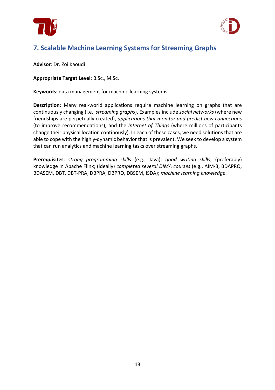



# **7. Scalable Machine Learning Systems for Streaming Graphs**

**Advisor**: Dr. Zoi Kaoudi

**Appropriate Target Level**: B.Sc., M.Sc.

**Keywords**: data management for machine learning systems

**Description**: Many real-world applications require machine learning on graphs that are continuously changing (i.e., *streaming graphs*). Examples include *social networks* (where new friendships are perpetually created), *applications that monitor and predict new connections* (to improve recommendations), and the *Internet of Things* (where millions of participants change their physical location continously). In each of these cases, we need solutions that are able to cope with the highly-dynamic behavior that is prevalent. We seek to develop a system that can run analytics and machine learning tasks over streaming graphs.

**Prerequisites**: *strong programming skills* (e.g., Java); *good writing skills*; (preferably) knowledge in Apache Flink; (ideally) *completed several DIMA courses* (e.g., AIM-3, BDAPRO, BDASEM, DBT, DBT-PRA, DBPRA, DBPRO, DBSEM, ISDA); *machine learning knowledge*.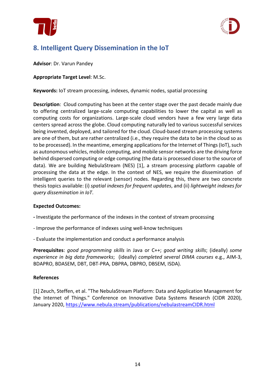



# **8. Intelligent Query Dissemination in the IoT**

**Advisor**: Dr. Varun Pandey

### **Appropriate Target Level**: M.Sc.

**Keywords:** IoT stream processing, indexes, dynamic nodes, spatial processing

**Description**: Cloud computing has been at the center stage over the past decade mainly due to offering centralized large-scale computing capabilities to lower the capital as well as computing costs for organizations. Large-scale cloud vendors have a few very large data centers spread across the globe. Cloud computing naturally led to various successful services being invented, deployed, and tailored for the cloud. Cloud-based stream processing systems are one of them, but are rather centralized (i.e., they require the data to be in the cloud so as to be processed). In the meantime, emerging applications for the Internet of Things (IoT), such as autonomous vehicles, mobile computing, and mobile sensor networks are the driving force behind dispersed computing or edge computing (the data is processed closer to the source of data). We are building NebulaStream (NES) [1], a stream processing platform capable of processing the data at the edge. In the context of NES, we require the dissemination of intelligent queries to the relevant (sensor) nodes. Regarding this, there are two concrete thesis topics available: (i) *spatial indexes for frequent updates*, and (ii) *lightweight indexes for query dissemination in IoT*.

#### **Expected Outcomes:**

- **-** Investigate the performance of the indexes in the context of stream processing
- Improve the performance of indexes using well-know techniques
- Evaluate the implementation and conduct a performance analysis

**Prerequisites**: *good programming skills* in Java or C++; *good writing skills*; (ideally) *some experience in big data frameworks*; (ideally) *completed several DIMA courses* e.g., AIM-3, BDAPRO, BDASEM, DBT, DBT-PRA, DBPRA, DBPRO, DBSEM, ISDA).

#### **References**

[1] Zeuch, Steffen, et al. "The NebulaStream Platform: Data and Application Management for the Internet of Things." Conference on Innovative Data Systems Research (CIDR 2020), January 2020, https://www.nebula.stream/publications/nebulastreamCIDR.html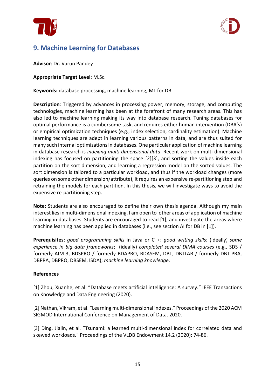



# **9. Machine Learning for Databases**

**Advisor**: Dr. Varun Pandey

**Appropriate Target Level**: M.Sc.

**Keywords:** database processing, machine learning, ML for DB

**Description**: Triggered by advances in processing power, memory, storage, and computing technologies, machine learning has been at the forefront of many research areas. This has also led to machine learning making its way into database research. Tuning databases for optimal performance is a cumbersome task, and requires either human intervention (DBA's) or empirical optimization techniques (e.g., index selection, cardinality estimation). Machine learning techniques are adept in learning various patterns in data, and are thus suited for many such internal optimizations in databases. One particular application of machine learning in database research is *indexing multi-dimensional data*. Recent work on multi-dimensional indexing has focused on partitioning the space [2][3], and sorting the values inside each partition on the sort dimension, and learning a regression model on the sorted values. The sort dimension is tailored to a particular workload, and thus if the workload changes (more queries on some other dimension/attribute), it requires an expensive re-partitioning step and retraining the models for each partition. In this thesis, we will investigate ways to avoid the expensive re-partitioning step.

**Note:** Students are also encouraged to define their own thesis agenda. Although my main interest lies in multi-dimensional indexing, I am open to other areas of application of machine learning in databases. Students are encouraged to read [1], and investigate the areas where machine learning has been applied in databases (i.e., see section AI for DB in [1]).

**Prerequisites**: *good programming skills* in Java or C++; *good writing skills*; (ideally) *some experience in big data frameworks*; (ideally) *completed several DIMA courses* (e.g., SDS / formerly AIM-3, BDSPRO / formerly BDAPRO, BDASEM, DBT, DBTLAB / formerly DBT-PRA, DBPRA, DBPRO, DBSEM, ISDA); *machine learning knowledge*.

### **References**

[1] Zhou, Xuanhe, et al. "Database meets artificial intelligence: A survey." IEEE Transactions on Knowledge and Data Engineering (2020).

[2] Nathan, Vikram, et al. "Learning multi-dimensional indexes." Proceedings of the 2020 ACM SIGMOD International Conference on Management of Data. 2020.

[3] Ding, Jialin, et al. "Tsunami: a learned multi-dimensional index for correlated data and skewed workloads." Proceedings of the VLDB Endowment 14.2 (2020): 74-86.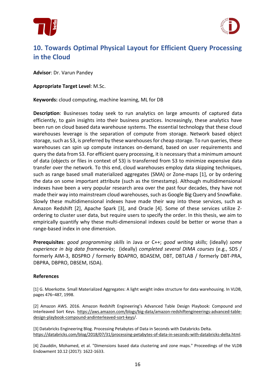



# **10. Towards Optimal Physical Layout for Efficient Query Processing in the Cloud**

**Advisor**: Dr. Varun Pandey

**Appropriate Target Level**: M.Sc.

**Keywords:** cloud computing, machine learning, ML for DB

**Description**: Businesses today seek to run analytics on large amounts of captured data efficiently, to gain insights into their business practices. Increasingly, these analytics have been run on cloud based data warehouse systems. The essential technology that these cloud warehouses leverage is the separation of compute from storage. Network based object storage, such as S3, is preferred by these warehouses for cheap storage. To run queries, these warehouses can spin up compute instances on-demand, based on user requirements and query the data from S3. For efficient query processing, it is necessary that a minimum amount of data (objects or files in context of S3) is transferred from S3 to minimize expensive data transfer over the network. To this end, cloud warehouses employ data skipping techniques, such as range based small materialized aggregates (SMA) or Zone-maps [1], or by ordering the data on some important attribute (such as the timestamp). Although multidimensional indexes have been a very popular research area over the past four decades, they have not made their way into mainstream cloud warehouses, such as Google Big Query and Snowflake. Slowly these multidimensional indexes have made their way into these services, such as Amazon Redshift [2], Apache Spark [3], and Oracle [4]. Some of these services utilize Zordering to cluster user data, but require users to specify the order. In this thesis, we aim to empirically quantify why these multi-dimensional indexes could be better or worse than a range-based index in one dimension.

**Prerequisites**: *good programming skills* in Java or C++; *good writing skills*; (ideally) *some experience in big data frameworks*; (ideally) *completed several DIMA courses* (e.g., SDS / formerly AIM-3, BDSPRO / formerly BDAPRO, BDASEM, DBT, DBTLAB / formerly DBT-PRA, DBPRA, DBPRO, DBSEM, ISDA).

### **References**

[1] G. Moerkotte. Small Materialized Aggregates: A light weight index structure for data warehousing. In VLDB, pages 476–487, 1998.

[2] Amazon AWS. 2016. Amazon Redshift Engineering's Advanced Table Design Playbook: Compound and Interleaved Sort Keys. https://aws.amazon.com/blogs/big-data/amazon-redshiftengineerings-advanced-tabledesign-playbook-compound-andinterleaved-sort-keys/.

[3] Databricks Engineering Blog. Processing Petabytes of Data in Seconds with Databricks Delta. https://databricks.com/blog/2018/07/31/processing-petabytes-of-data-in-seconds-with-databricks-delta.html.

[4] Ziauddin, Mohamed, et al. "Dimensions based data clustering and zone maps." Proceedings of the VLDB Endowment 10.12 (2017): 1622-1633.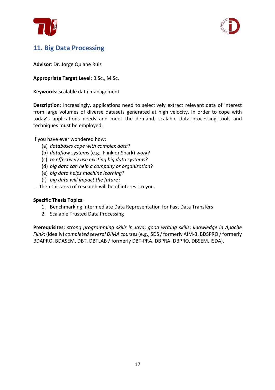



### **11. Big Data Processing**

**Advisor**: Dr. Jorge Quiane Ruiz

**Appropriate Target Level**: B.Sc., M.Sc.

**Keywords:** scalable data management

**Description**: Increasingly, applications need to selectively extract relevant data of interest from large volumes of diverse datasets generated at high velocity. In order to cope with today's applications needs and meet the demand, scalable data processing tools and techniques must be employed.

If you have ever wondered how:

- (a) *databases cope with complex data*?
- (b) *dataflow systems* (e.g., Flink or Spark) *work*?
- (c) *to effectively use existing big data systems*?
- (d) *big data can help a company or organization*?
- (e) *big data helps machine learning*?
- (f) *big data will impact the future*?

…. then this area of research will be of interest to you.

#### **Specific Thesis Topics**:

- 1. Benchmarking Intermediate Data Representation for Fast Data Transfers
- 2. Scalable Trusted Data Processing

**Prerequisites**: *strong programming skills in Java*; *good writing skills*; *knowledge in Apache Flink*; (ideally) *completed several DIMA courses*(e.g., SDS / formerly AIM-3, BDSPRO / formerly BDAPRO, BDASEM, DBT, DBTLAB / formerly DBT-PRA, DBPRA, DBPRO, DBSEM, ISDA).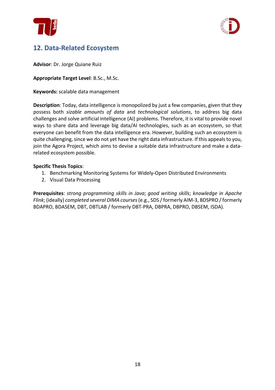



### **12. Data-Related Ecosystem**

**Advisor**: Dr. Jorge Quiane Ruiz

**Appropriate Target Level**: B.Sc., M.Sc.

**Keywords:** scalable data management

**Description**: Today, data intelligence is monopolized by just a few companies, given that they possess both *sizable amounts of data* and *technological solutions*, to address big data challenges and solve artificial intelligence (AI) problems. Therefore, it is vital to provide novel ways to share data and leverage big data/AI technologies, such as an ecosystem, so that everyone can benefit from the data intelligence era. However, building such an ecosystem is quite challenging, since we do not yet have the right data infrastructure. If this appeals to you, join the Agora Project, which aims to devise a suitable data infrastructure and make a datarelated ecosystem possible.

### **Specific Thesis Topics**:

- 1. Benchmarking Monitoring Systems for Widely-Open Distributed Environments
- 2. Visual Data Processing

**Prerequisites**: *strong programming skills in Java*; *good writing skills*; *knowledge in Apache Flink*; (ideally) *completed several DIMA courses*(e.g., SDS / formerly AIM-3, BDSPRO / formerly BDAPRO, BDASEM, DBT, DBTLAB / formerly DBT-PRA, DBPRA, DBPRO, DBSEM, ISDA).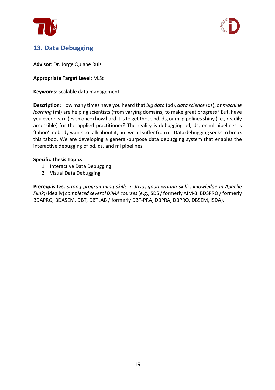



# **13. Data Debugging**

**Advisor**: Dr. Jorge Quiane Ruiz

**Appropriate Target Level**: M.Sc.

**Keywords:** scalable data management

**Description**: How many times have you heard that *big data* (bd), *data science* (ds), or *machine learning* (ml) are helping scientists (from varying domains) to make great progress? But, have you ever heard (even once) how hard it is to get those bd, ds, or ml pipelines shiny (i.e., readily accessible) for the applied practitioner? The reality is debugging bd, ds, or ml pipelines is 'taboo': nobody wants to talk about it, but we all suffer from it! Data debugging seeks to break this taboo. We are developing a general-purpose data debugging system that enables the interactive debugging of bd, ds, and ml pipelines.

### **Specific Thesis Topics**:

- 1. Interactive Data Debugging
- 2. Visual Data Debugging

**Prerequisites**: *strong programming skills in Java*; *good writing skills*; *knowledge in Apache Flink*; (ideally) *completed several DIMA courses*(e.g., SDS / formerly AIM-3, BDSPRO / formerly BDAPRO, BDASEM, DBT, DBTLAB / formerly DBT-PRA, DBPRA, DBPRO, DBSEM, ISDA).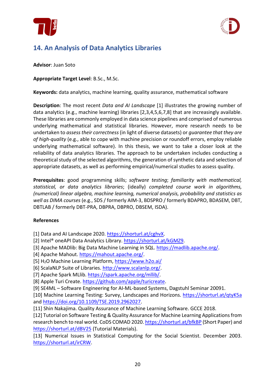



# **14. An Analysis of Data Analytics Libraries**

**Advisor**: Juan Soto

**Appropriate Target Level**: B.Sc., M.Sc.

**Keywords:** data analytics, machine learning, quality assurance, mathematical software

**Description**: The most recent *Data and AI Landscape* [1] illustrates the growing number of data analytics (e.g., machine learning) libraries [2,3,4,5,6,7,8] that are increasingly available. These libraries are commonly employed in data science pipelines and comprised of numerous underlying mathematical and statistical libraries. However, more research needs to be undertaken to *assess their correctness* (in light of diverse datasets) or *guarantee that they are of high-quality* (e.g., able to cope with machine precision or roundoff errors, employ reliable underlying mathematical software). In this thesis, we want to take a closer look at the reliability of data analytics libraries. The approach to be undertaken includes conducting a theoretical study of the selected algorithms, the generation of synthetic data and selection of appropriate datasets, as well as performing empirical/numerical studies to assess quality.

**Prerequisites**: good programming skills; *software testing*; *familiarity with mathematical, statistical, or data analytics libraries*; (ideally) *completed course work in algorithms, (numerical) linear algebra, machine learning, numerical analysis, probability and statistics as well as DIMA courses* (e.g., SDS / formerly AIM-3, BDSPRO / formerly BDAPRO, BDASEM, DBT, DBTLAB / formerly DBT-PRA, DBPRA, DBPRO, DBSEM, ISDA).

### **References**

[1] Data and AI Landscape 2020. https://shorturl.at/cghvX.

[2] Intel® oneAPI Data Analytics Library. https://shorturl.at/kGMZ9.

[3] Apache MADlib: Big Data Machine Learning in SQL. https://madlib.apache.org/.

[4] Apache Mahout. https://mahout.apache.org/.

[5] H2O Machine Learning Platform, https://www.h2o.ai/

[6] ScalaNLP Suite of Libraries. http://www.scalanlp.org/.

[7] Apache Spark MLlib. https://spark.apache.org/mllib/.

[8] Apple Turi Create. https://github.com/apple/turicreate.

[9] SE4ML – Software Engineering for AI-ML-based Systems, Dagstuhl Seminar 20091.

[10] Machine Learning Testing: Survey, Landscapes and Horizons. https://shorturl.at/qtyK5a and https://doi.org/10.1109/TSE.2019.2962027.

[11] Shin Nakajima. Quality Assurance of Machine Learning Software. GCCE 2018.

[12] Tutorial on Software Testing & Quality Assurance for Machine Learning Applications from research bench to real world. CoDS COMAD 2020. https://shorturl.at/bfkBP (Short Paper) and https://shorturl.at/dBV25 (Tutorial Materials).

[13] Numerical Issues in Statistical Computing for the Social Scientist. December 2003. https://shorturl.at/irCRW.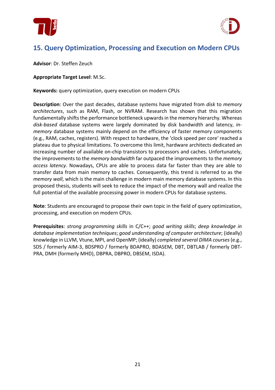



### **15. Query Optimization, Processing and Execution on Modern CPUs**

**Advisor**: Dr. Steffen Zeuch

**Appropriate Target Level**: M.Sc.

**Keywords:** query optimization, query execution on modern CPUs

**Description**: Over the past decades, database systems have migrated from *disk* to *memory architectures*, such as RAM, Flash, or NVRAM. Research has shown that this migration fundamentally shifts the performance bottleneck upwards in the memory hierarchy. Whereas *disk-based* database systems were largely dominated by disk bandwidth and latency, *inmemory* database systems mainly depend on the efficiency of faster memory components (e.g., RAM, caches, registers). With respect to hardware, the 'clock speed per core' reached a plateau due to physical limitations. To overcome this limit, hardware architects dedicated an increasing number of available on-chip transistors to processors and caches. Unfortunately, the improvements to the *memory bandwidth* far outpaced the improvements to the *memory access latency*. Nowadays, CPUs are able to process data far faster than they are able to transfer data from main memory to caches. Consequently, this trend is referred to as the *memory wall*, which is the main challenge in modern main memory database systems. In this proposed thesis, students will seek to reduce the impact of the memory wall and realize the full potential of the available processing power in modern CPUs for database systems.

**Note**: Students are encouraged to propose their own topic in the field of query optimization, processing, and execution on modern CPUs.

**Prerequisites**: *strong programming skills* in C/C++; *good writing skills*; *deep knowledge in database implementation techniques*; *good understanding of computer architecture*; (ideally) knowledge in LLVM, Vtune, MPI, and OpenMP; (ideally) *completed several DIMA courses*(e.g., SDS / formerly AIM-3, BDSPRO / formerly BDAPRO, BDASEM, DBT, DBTLAB / formerly DBT-PRA, DMH (formerly MHD), DBPRA, DBPRO, DBSEM, ISDA).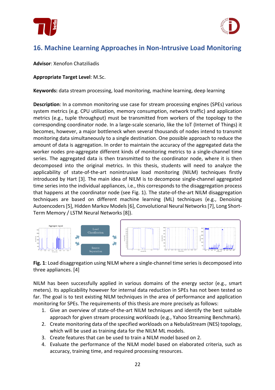



### **16. Machine Learning Approaches in Non-Intrusive Load Monitoring**

**Advisor**: Xenofon Chatziliadis

**Appropriate Target Level**: M.Sc.

**Keywords:** data stream processing, load monitoring, machine learning, deep learning

**Description**: In a common monitoring use case for stream processing engines (SPEs) various system metrics (e.g. CPU utilization, memory consumption, network traffic) and application metrics (e.g., tuple throughput) must be transmitted from workers of the topology to the corresponding coordinator node. In a large-scale scenario, like the IoT (Internet of Things) it becomes, however, a major bottleneck when several thousands of nodes intend to transmit monitoring data simultaneously to a single destination. One possible approach to reduce the amount of data is aggregation. In order to maintain the accuracy of the aggregated data the worker nodes pre-aggregate different kinds of monitoring metrics to a single-channel time series. The aggregated data is then transmitted to the coordinator node, where it is then decomposed into the original metrics. In this thesis, students will need to analyze the applicability of state-of-the-art nonintrusive load monitoring (NILM) techniques firstly introduced by Hart [3]. The main idea of NILM is to decompose single-channel aggregated time series into the individual appliances, i.e., this corresponds to the disaggregation process that happens at the coordinator node (see Fig. 1). The state-of-the-art NILM disaggregation techniques are based on different machine learning (ML) techniques (e.g., Denoising Autoencoders [5], Hidden Markov Models [6], Convolutional Neural Networks [7], Long Short-Term Memory / LSTM Neural Networks [8]).



**Fig. 1**: Load disaggregation using NILM where a single-channel time series is decomposed into three appliances. [4]

NILM has been successfully applied in various domains of the energy sector (e.g., smart meters). Its applicability however for internal data reduction in SPEs has not been tested so far. The goal is to test existing NILM techniques in the area of performance and application monitoring for SPEs. The requirements of this thesis are more precisely as follows:

- 1. Give an overview of state-of-the-art NILM techniques and identify the best suitable approach for given stream processing workloads (e.g., Yahoo Streaming Benchmark).
- 2. Create monitoring data of the specified workloads on a NebulaStream (NES) topology, which will be used as training data for the NILM ML models.
- 3. Create features that can be used to train a NILM model based on 2.
- 4. Evaluate the performance of the NILM model based on elaborated criteria, such as accuracy, training time, and required processing resources.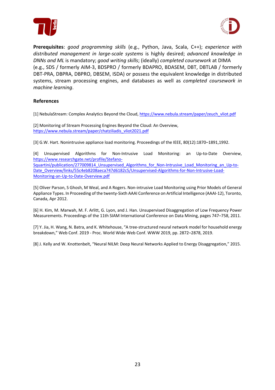



**Prerequisites**: *good programming skills* (e.g., Python, Java, Scala, C++); *experience with distributed management in large-scale systems* is highly desired; *advanced knowledge in DNNs and ML* is mandatory; *good writing skills*; (ideally) *completed coursework* at DIMA (e.g., SDS / formerly AIM-3, BDSPRO / formerly BDAPRO, BDASEM, DBT, DBTLAB / formerly DBT-PRA, DBPRA, DBPRO, DBSEM, ISDA) or possess the equivalent knowledge in distributed systems, stream processing engines, and databases as well as *completed coursework in machine learning*.

#### **References**

[1] NebulaStream: Complex Analytics Beyond the Cloud, https://www.nebula.stream/paper/zeuch\_vliot.pdf

[2] Monitoring of Stream Processing Engines Beyond the Cloud: An Overview, https://www.nebula.stream/paper/chatziliadis\_vliot2021.pdf

[3] G.W. Hart. Nonintrusive appliance load monitoring. Proceedings of the IEEE, 80(12):1870–1891,1992.

[4] Unsupervised Algorithms for Non-Intrusive Load Monitoring: an Up-to-Date Overview, https://www.researchgate.net/profile/Stefano-Squartini/publication/277009814 Unsupervised Algorithms for Non-Intrusive Load Monitoring an Up-to-Date\_Overview/links/55c4eb8208aeca747d6182c5/Unsupervised-Algorithms-for-Non-Intrusive-Load-Monitoring-an-Up-to-Date-Overview.pdf

[5] Oliver Parson, S Ghosh, M Weal, and A Rogers. Non-intrusive Load Monitoring using Prior Models of General Appliance Types. In Proceeding of the twenty-Sixth AAAI Conference on Artificial Intelligence (AAAI-12), Toronto, Canada, Apr 2012.

[6] H. Kim, M. Marwah, M. F. Arlitt, G. Lyon, and J. Han. Unsupervised Disaggregation of Low Frequency Power Measurements. Proceedings of the 11th SIAM International Conference on Data Mining, pages 747–758, 2011.

[7] Y. Jia, H. Wang, N. Batra, and K. Whitehouse, "A tree-structured neural network model for household energy breakdown," Web Conf. 2019 - Proc. World Wide Web Conf. WWW 2019, pp. 2872–2878, 2019.

[8] J. Kelly and W. Knottenbelt, "Neural NILM: Deep Neural Networks Applied to Energy Disaggregation," 2015.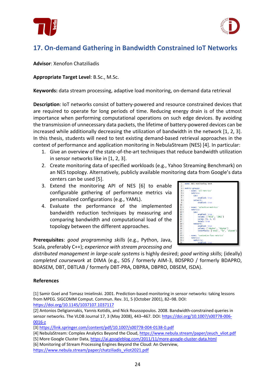



# **17. On-demand Gathering in Bandwidth Constrained IoT Networks**

**Advisor**: Xenofon Chatziliadis

**Appropriate Target Level**: B.Sc., M.Sc.

**Keywords:** data stream processing, adaptive load monitoring, on-demand data retrieval

**Description**: IoT networks consist of battery-powered and resource constrained devices that are required to operate for long periods of time. Reducing energy drain is of the utmost importance when performing computational operations on such edge devices. By avoiding the transmission of unnecessary data packets, the lifetime of battery-powered devices can be increased while additionally decreasing the utilization of bandwidth in the network [1, 2, 3]. In this thesis, students will need to test existing demand-based retrieval approaches in the context of performance and application monitoring in NebulaStream (NES) [4]. In particular:

- 1. Give an overview of the state-of-the-art techniques that reduce bandwidth utilization in sensor networks like in [1, 2, 3].
- 2. Create monitoring data of specified workloads (e.g., Yahoo Streaming Benchmark) on an NES topology. Alternatively, publicly available monitoring data from Google's data centers can be used [5].
- 3. Extend the monitoring API of NES [6] to enable configurable gathering of performance metrics via personalized configurations (e.g., YAML).
- 4. Evaluate the performance of the implemented bandwidth reduction techniques by measuring and comparing bandwidth and computational load of the topology between the different approaches.

**Prerequisites**: *good programming skills* (e.g., Python, Java, Scala, preferably C++); *experience with stream processing and*



*distributed management in large-scale systems* is highly desired; *good writing skills*; (ideally) *completed coursework* at DIMA (e.g., SDS / formerly AIM-3, BDSPRO / formerly BDAPRO, BDASEM, DBT, DBTLAB / formerly DBT-PRA, DBPRA, DBPRO, DBSEM, ISDA).

### **References**

[1] Samir Goel and Tomasz Imielinski. 2001. Prediction-based monitoring in sensor networks: taking lessons from MPEG. SIGCOMM Comput. Commun. Rev. 31, 5 (October 2001), 82–98. DOI: https://doi.org/10.1145/1037107.1037117

[2] Antonios Deligiannakis, Yannis Kotidis, and Nick Roussopoulos. 2008. Bandwidth-constrained queries in sensor networks. The VLDB Journal 17, 3 (May 2008), 443-467. DOI: https://doi.org/10.1007/s00778-006-0016-z

[3] https://link.springer.com/content/pdf/10.1007/s00778-004-0138-0.pdf

[4] NebulaStream: Complex Analytics Beyond the Cloud, https://www.nebula.stream/paper/zeuch\_vliot.pdf

[5] More Google Cluster Data, https://ai.googleblog.com/2011/11/more-google-cluster-data.html

[6] Monitoring of Stream Processing Engines Beyond the Cloud: An Overview, https://www.nebula.stream/paper/chatziliadis\_vliot2021.pdf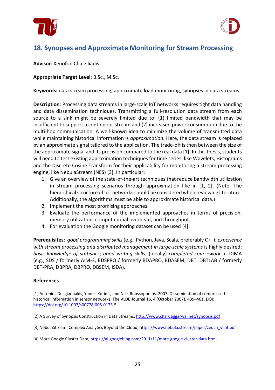



### **18. Synopses and Approximate Monitoring for Stream Processing**

**Advisor**: Xenofon Chatziliadis

**Appropriate Target Level**: B.Sc., M.Sc.

**Keywords:** data stream processing, approximate load monitoring, synopses in data streams

**Description**: Processing data streams in large-scale IoT networks requires tight data handling and data dissemination techniques. Transmitting a full-resolution data stream from each source to a sink might be severely limited due to: (1) limited bandwidth that may be insufficient to support a continuous stream and (2) increased power consumption due to the multi-hop communication. A well-known idea to minimize the volume of transmitted data while maintaining historical information is *approximation*. Here, the data stream is replaced by an approximate signal tailored to the application. The trade-off is then between the size of the approximate signal and its precision compared to the real data [1]. In this thesis, students will need to test existing approximation techniques for time series, like Wavelets, Histograms and the Discrete Cosine Transform for their applicability for monitoring a stream processing engine, like NebulaStream (NES) [3]. In particular:

- 1. Give an overview of the state-of-the-art techniques that reduce bandwidth utilization in stream processing scenarios through approximation like in [1, 2]. (Note: The hierarchical structure of IoT networks should be considered when reviewing literature. Additionally, the algorithms must be able to approximate historical data.)
- 2. Implement the most promising approaches.
- 3. Evaluate the performance of the implemented approaches in terms of precision, memory utilization, computational overhead, and throughput.
- 4. For evaluation the Google monitoring dataset can be used [4].

**Prerequisites**: *good programming skills* (e.g., Python, Java, Scala, preferably C++); *experience with stream processing and distributed management in large-scale systems* is highly desired; *basic knowledge of statistics*; *good writing skills*; (ideally) *completed coursework* at DIMA (e.g., SDS / formerly AIM-3, BDSPRO / formerly BDAPRO, BDASEM, DBT, DBTLAB / formerly DBT-PRA, DBPRA, DBPRO, DBSEM, ISDA).

### **References**

[1] Antonios Deligiannakis, Yannis Kotidis, and Nick Roussopoulos. 2007. Dissemination of compressed historical information in sensor networks. The VLDB Journal 16, 4 (October 2007), 439–461. DOI: https://doi.org/10.1007/s00778-005-0173-5

[2] A Survey of Synopsis Construction in Data Streams, http://www.charuaggarwal.net/synopsis.pdf

- [3] NebulaStream: Complex Analytics Beyond the Cloud, https://www.nebula.stream/paper/zeuch\_vliot.pdf
- [4] More Google Cluster Data, https://ai.googleblog.com/2011/11/more-google-cluster-data.html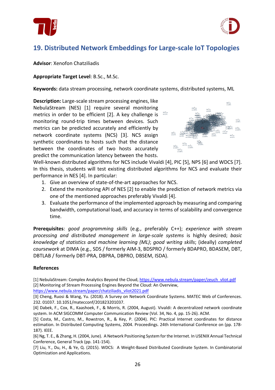



### **19. Distributed Network Embeddings for Large-scale IoT Topologies**

**Advisor**: Xenofon Chatziliadis

**Appropriate Target Level**: B.Sc., M.Sc.

**Keywords:** data stream processing, network coordinate systems, distributed systems, ML

**Description:** Large-scale stream processing engines, like NebulaStream (NES) [1] require several monitoring metrics in order to be efficient [2]. A key challenge is monitoring round-trip times between devices. Such metrics can be predicted accurately and efficiently by network coordinate systems (NCS) [3]. NCS assign synthetic coordinates to hosts such that the distance between the coordinates of two hosts accurately predict the communication latency between the hosts.



Well-known distributed algorithms for NCS include Vivaldi [4], PIC [5], NPS [6] and WDCS [7]. In this thesis, students will test existing distributed algorithms for NCS and evaluate their performance in NES [4]. In particular:

- 1. Give an overview of state-of-the-art approaches for NCS.
- 2. Extend the monitoring API of NES [2] to enable the prediction of network metrics via one of the mentioned approaches preferably Vivaldi [4].
- 3. Evaluate the performance of the implemented approach by measuring and comparing bandwidth, computational load, and accuracy in terms of scalability and convergence time.

**Prerequisites**: *good programming skills* (e.g., preferably C++); *experience with stream processing and distributed management in large-scale systems* is highly desired; *basic knowledge of statistics and machine learning (ML)*; *good writing skills*; (ideally) *completed coursework* at DIMA (e.g., SDS / formerly AIM-3, BDSPRO / formerly BDAPRO, BDASEM, DBT, DBTLAB / formerly DBT-PRA, DBPRA, DBPRO, DBSEM, ISDA).

#### **References**

[1] NebulaStream: Complex Analytics Beyond the Cloud, https://www.nebula.stream/paper/zeuch\_vliot.pdf [2] Monitoring of Stream Processing Engines Beyond the Cloud: An Overview,

https://www.nebula.stream/paper/chatziliadis\_vliot2021.pdf

[7] Liu, Y., Du, H., & Ye, Q. (2015). WDCS: A Weight-Based Distributed Coordinate System. In Combinatorial Optimization and Applications.

<sup>[3]</sup> Cheng, Ruosi & Wang, Yu. (2018). A Survey on Network Coordinate Systems. MATEC Web of Conferences. 232. 01037. 10.1051/matecconf/201823201037.

<sup>[4]</sup> Dabek, F., Cox, R., Kaashoek, F., & Morris, R. (2004, August). Vivaldi: A decentralized network coordinate system. In ACM SIGCOMM Computer Communication Review (Vol. 34, No. 4, pp. 15-26). ACM.

<sup>[5]</sup> Costa, M., Castro, M., Rowstron, R., & Key, P. (2004). PIC: Practical Internet coordinates for distance estimation. In Distributed Computing Systems, 2004. Proceedings. 24th International Conference on (pp. 178- 187). IEEE.

<sup>[6]</sup> Ng, T. E., & Zhang, H. (2004, June). A Network Positioning System for the Internet. In USENIX Annual Technical Conference, General Track (pp. 141-154).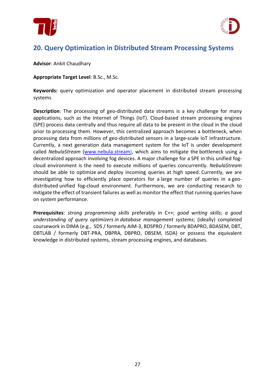



### **20. Query Optimization in Distributed Stream Processing Systems**

**Advisor**: Ankit Chaudhary

**Appropriate Target Level**: B.Sc., M.Sc.

**Keywords:** query optimization and operator placement in distributed stream processing systems

**Description**: The processing of geo-distributed data streams is a key challenge for many applications, such as the Internet of Things (IoT). Cloud-based stream processing engines (SPE) process data centrally and thus require all data to be present in the cloud in the cloud prior to processing them. However, this centralized approach becomes a bottleneck, when processing data from millions of geo-distributed sensors in a large-scale IoT infrastructure. Currently, a next generation data management system for the IoT is under development called *NebulaStream* (www.nebula.stream), which aims to mitigate the bottleneck using a decentralized approach involving fog devices. A major challenge for a SPE in this unified fogcloud environment is the need to execute millions of queries concurrently. *NebulaStream* should be able to optimize and deploy incoming queries at high speed. Currently, we are investigating how to efficiently place operators for a large number of queries in a geodistributed unified fog-cloud environment. Furthermore, we are conducting research to mitigate the effect of transient failures as well as monitor the effect that running queries have on system performance.

**Prerequisites**: *strong programming skills* preferably in C++; *good writing skills*; *a good understanding of query optimizers in database management systems*; (ideally) completed coursework in DIMA (e.g., SDS / formerly AIM-3, BDSPRO / formerly BDAPRO, BDASEM, DBT, DBTLAB / formerly DBT-PRA, DBPRA, DBPRO, DBSEM, ISDA) or possess the equivalent knowledge in distributed systems, stream processing engines, and databases.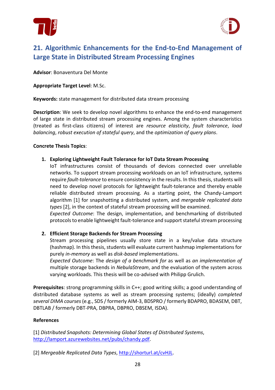



# **21. Algorithmic Enhancements for the End-to-End Management of Large State in Distributed Stream Processing Engines**

**Advisor**: Bonaventura Del Monte

### **Appropriate Target Level**: M.Sc.

**Keywords:** state management for distributed data stream processing

**Description**: We seek to develop novel algorithms to enhance the end-to-end management of large state in distributed stream processing engines. Among the system characteristics (treated as first-class citizens) of interest are *resource elasticity*, *fault tolerance*, *load balancing*, *robust execution of stateful query*, and the *optimization of query plans*.

### **Concrete Thesis Topics**:

**1. Exploring Lightweight Fault Tolerance for IoT Data Stream Processing**

IoT infrastructures consist of thousands of devices connected over unreliable networks. To support stream processing workloads on an IoT infrastructure, systems require *fault-tolerance* to ensure consistency in the results. In this thesis, students will need to develop novel protocols for lightweight fault-tolerance and thereby enable reliable distributed stream processing. As a starting point, the Chandy-Lamport algorithm [1] for snapshotting a distributed system, and *mergeable replicated data types* [2], in the context of stateful stream processing will be examined.

*Expected Outcome*: The design, implementation, and benchmarking of distributed protocols to enable lightweight fault-tolerance and support stateful stream processing

### **2. Efficient Storage Backends for Stream Processing**

Stream processing pipelines usually store state in a key/value data structure (hashmap). In this thesis, students will evaluate current hashmap implementations for purely *in-memory* as well as *disk-based* implementations.

*Expected Outcome*: The *design of a benchmark for* as well as *an implementation of* multiple storage backends in *NebulaStream*, and the evaluation of the system across varying workloads. This thesis will be co-advised with Philipp Grulich.

**Prerequisites**: strong programming skills in C++; good writing skills; a good understanding of distributed database systems as well as stream processing systems; (ideally) *completed several DIMA courses* (e.g., SDS / formerly AIM-3, BDSPRO / formerly BDAPRO, BDASEM, DBT, DBTLAB / formerly DBT-PRA, DBPRA, DBPRO, DBSEM, ISDA).

#### **References**

[1] *Distributed Snapshots: Determining Global States of Distributed Systems*, http://lamport.azurewebsites.net/pubs/chandy.pdf.

[2] *Mergeable Replicated Data Types*, http://shorturl.at/cvHJL.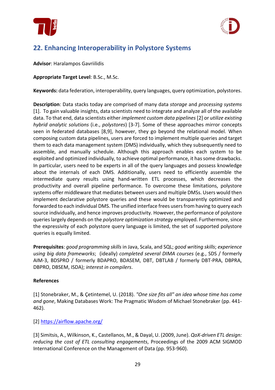



# **22. Enhancing Interoperability in Polystore Systems**

**Advisor**: Haralampos Gavriilidis

**Appropriate Target Level**: B.Sc., M.Sc.

**Keywords:** data federation, interoperability, query languages, query optimization, polystores.

**Description**: Data stacks today are comprised of many data *storage* and *processing systems* [1]. To gain valuable insights, data scientists need to integrate and analyze all of the available data. To that end, data scientists either *implement custom data pipelines* [2] or *utilize existing hybrid analytic solutions* (i.e., *polystores*) [3-7]. Some of these approaches mirror concepts seen in federated databases [8,9], however, they go beyond the relational model. When composing custom data pipelines, users are forced to implement multiple queries and target them to each data management system (DMS) individually, which they subsequently need to assemble, and manually schedule. Although this approach enables each system to be exploited and optimized individually, to achieve optimal performance, it has some drawbacks. In particular, users need to be experts in all of the query languages and possess knowledge about the internals of each DMS. Additionally, users need to efficiently assemble the intermediate query results using hand-written ETL processes, which decreases the productivity and overall pipeline performance. To overcome these limitations, polystore systems offer middleware that mediates between users and multiple DMSs. Users would then implement declarative polystore queries and these would be transparently optimized and forwarded to each individual DMS. The unified interface frees users from having to query each source individually, and hence improves productivity. However, the performance of polystore queries largely depends on the *polystore optimization strategy* employed. Furthermore, since the expressivity of each polystore query language is limited, the set of supported polystore queries is equally limited.

**Prerequisites**: *good programming skills* in Java, Scala, and SQL; *good writing skills*; *experience using big data frameworks*; (ideally) *completed several DIMA courses* (e.g., SDS / formerly AIM-3, BDSPRO / formerly BDAPRO, BDASEM, DBT, DBTLAB / formerly DBT-PRA, DBPRA, DBPRO, DBSEM, ISDA); *interest in compilers*.

### **References**

[1] Stonebraker, M., & Çetintemel, U. (2018). *"One size fits all" an idea whose time has come and gone*, Making Databases Work: The Pragmatic Wisdom of Michael Stonebraker (pp. 441- 462).

### [2] https://airflow.apache.org/

[3] Simitsis, A., Wilkinson, K., Castellanos, M., & Dayal, U. (2009, June). *QoX-driven ETL design: reducing the cost of ETL consulting engagements*, Proceedings of the 2009 ACM SIGMOD International Conference on the Management of Data (pp. 953-960).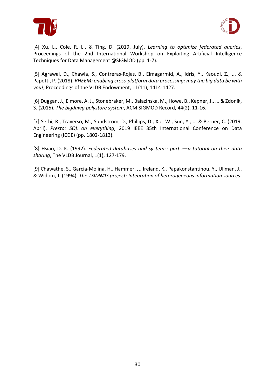



[4] Xu, L., Cole, R. L., & Ting, D. (2019, July). *Learning to optimize federated queries*, Proceedings of the 2nd International Workshop on Exploiting Artificial Intelligence Techniques for Data Management @SIGMOD (pp. 1-7).

[5] Agrawal, D., Chawla, S., Contreras-Rojas, B., Elmagarmid, A., Idris, Y., Kaoudi, Z., ... & Papotti, P. (2018). *RHEEM: enabling cross-platform data processing: may the big data be with you!*, Proceedings of the VLDB Endowment, 11(11), 1414-1427.

[6] Duggan, J., Elmore, A. J., Stonebraker, M., Balazinska, M., Howe, B., Kepner, J., ... & Zdonik, S. (2015). *The bigdawg polystore system*, ACM SIGMOD Record, 44(2), 11-16.

[7] Sethi, R., Traverso, M., Sundstrom, D., Phillips, D., Xie, W., Sun, Y., ... & Berner, C. (2019, April). *Presto: SQL on everything*, 2019 IEEE 35th International Conference on Data Engineering (ICDE) (pp. 1802-1813).

[8] Hsiao, D. K. (1992). Fe*derated databases and systems: part i—a tutorial on their data sharing*, The VLDB Journal, 1(1), 127-179.

[9] Chawathe, S., Garcia-Molina, H., Hammer, J., Ireland, K., Papakonstantinou, Y., Ullman, J., & Widom, J. (1994). *The TSIMMIS project: Integration of heterogeneous information sources*.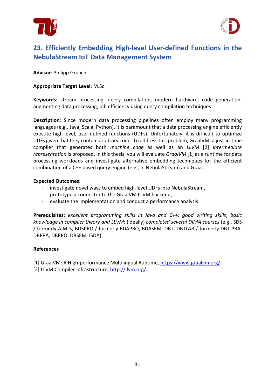



# **23. Efficiently Embedding High-level User-defined Functions in the NebulaStream IoT Data Management System**

**Advisor**: Philipp Grulich

### **Appropriate Target Level**: M.Sc.

**Keywords:** stream processing, query compilation, modern hardware, code generation, augmenting data processing, job efficiency using query compilation techniques

**Description**: Since modern data processing pipelines often employ many programming languages (e.g., Java, Scala, Python), it is paramount that a data processing engine efficiently execute high-level, user-defined functions (UDFs). Unfortunately, it is difficult to optimize UDFs given that they contain arbitrary code. To address this problem, GraalVM, a just-in-time compiler that generates both *machine code* as well as an *LLVM* [2] *intermediate representation* is proposed. In this thesis, you will evaluate *GraalVM* [1] as a runtime for data processing workloads and investigate alternative embedding techniques for the efficient combination of a C++ based query engine (e.g., in NebulaStream) and Graal.

#### **Expected Outcomes**:

- investigate novel ways to embed high-level UDFs into NebulaStream,
- prototype a connector to the GraalVM LLVM backend,
- evaluate the implementation and conduct a performance analysis.

**Prerequisites**: *excellent programming skills in Java and C++; good writing skills*; *basic knowledge in compiler theory and LLVM*; (ideally) *completed several DIMA courses* (e.g., SDS / formerly AIM-3, BDSPRO / formerly BDAPRO, BDASEM, DBT, DBTLAB / formerly DBT-PRA, DBPRA, DBPRO, DBSEM, ISDA).

#### **References**

[1] GraalVM: A High-performance Multilingual Runtime, https://www.graalvm.org/.

[2] LLVM Compiler Infrastructure, http://llvm.org/.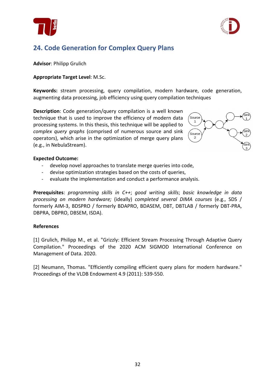



# **24. Code Generation for Complex Query Plans**

**Advisor**: Philipp Grulich

### **Appropriate Target Level**: M.Sc.

**Keywords:** stream processing, query compilation, modern hardware, code generation, augmenting data processing, job efficiency using query compilation techniques

**Description**: Code generation/query compilation is a well known technique that is used to improve the efficiency of modern data processing systems. In this thesis, this technique will be applied to *complex query graphs* (comprised of numerous source and sink operators), which arise in the optimization of merge query plans (e.g., in NebulaStream).



#### **Expected Outcome:**

- develop novel approaches to translate merge queries into code,
- devise optimization strategies based on the costs of queries,
- evaluate the implementation and conduct a performance analysis.

**Prerequisites**: *programming skills in C++*; *good writing skills*; *basic knowledge in data processing on modern hardware;* (ideally) *completed several DIMA courses* (e.g., SDS / formerly AIM-3, BDSPRO / formerly BDAPRO, BDASEM, DBT, DBTLAB / formerly DBT-PRA, DBPRA, DBPRO, DBSEM, ISDA).

#### **References**

[1] Grulich, Philipp M., et al. "Grizzly: Efficient Stream Processing Through Adaptive Query Compilation." Proceedings of the 2020 ACM SIGMOD International Conference on Management of Data. 2020.

[2] Neumann, Thomas. "Efficiently compiling efficient query plans for modern hardware." Proceedings of the VLDB Endowment 4.9 (2011): 539-550.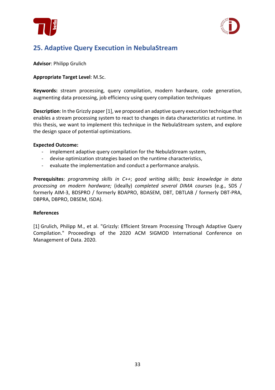



### **25. Adaptive Query Execution in NebulaStream**

**Advisor**: Philipp Grulich

### **Appropriate Target Level**: M.Sc.

**Keywords:** stream processing, query compilation, modern hardware, code generation, augmenting data processing, job efficiency using query compilation techniques

**Description**: In the Grizzly paper [1], we proposed an adaptive query execution technique that enables a stream processing system to react to changes in data characteristics at runtime. In this thesis, we want to implement this technique in the NebulaStream system, and explore the design space of potential optimizations.

#### **Expected Outcome:**

- implement adaptive query compilation for the NebulaStream system,
- devise optimization strategies based on the runtime characteristics,
- evaluate the implementation and conduct a performance analysis.

**Prerequisites**: *programming skills in C++*; *good writing skills*; *basic knowledge in data processing on modern hardware;* (ideally) *completed several DIMA courses* (e.g., SDS / formerly AIM-3, BDSPRO / formerly BDAPRO, BDASEM, DBT, DBTLAB / formerly DBT-PRA, DBPRA, DBPRO, DBSEM, ISDA).

#### **References**

[1] Grulich, Philipp M., et al. "Grizzly: Efficient Stream Processing Through Adaptive Query Compilation." Proceedings of the 2020 ACM SIGMOD International Conference on Management of Data. 2020.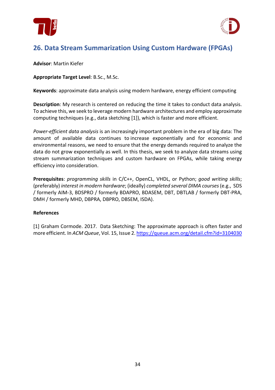



### **26. Data Stream Summarization Using Custom Hardware (FPGAs)**

**Advisor**: Martin Kiefer

**Appropriate Target Level**: B.Sc., M.Sc.

**Keywords**: approximate data analysis using modern hardware, energy efficient computing

**Description**: My research is centered on reducing the time it takes to conduct data analysis. To achieve this, we seek to leverage modern hardware architectures and employ approximate computing techniques (e.g., data sketching [1]), which is faster and more efficient.

*Power-efficient data analysis* is an increasingly important problem in the era of big data: The amount of available data continues to increase exponentially and for economic and environmental reasons, we need to ensure that the energy demands required to analyze the data do not grow exponentially as well. In this thesis, we seek to analyze data streams using stream summarization techniques and custom hardware on FPGAs, while taking energy efficiency into consideration.

**Prerequisites**: *programming skills* in C/C++, OpenCL, VHDL, or Python; *good writing skills*; (preferably) *interest in modern hardware*; (ideally) *completed several DIMA courses*(e.g., SDS / formerly AIM-3, BDSPRO / formerly BDAPRO, BDASEM, DBT, DBTLAB / formerly DBT-PRA, DMH / formerly MHD, DBPRA, DBPRO, DBSEM, ISDA).

#### **References**

[1] Graham Cormode. 2017. Data Sketching: The approximate approach is often faster and more efficient. In *ACM Queue*, Vol. 15, Issue 2. https://queue.acm.org/detail.cfm?id=3104030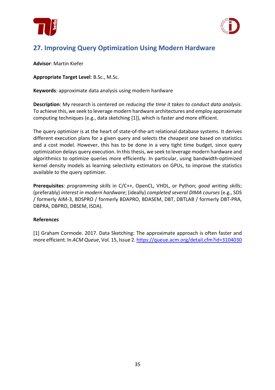



# **27. Improving Query Optimization Using Modern Hardware**

**Advisor**: Martin Kiefer

**Appropriate Target Level**: B.Sc., M.Sc.

**Keywords**: approximate data analysis using modern hardware

**Description**: My research is centered on *reducing the time it takes to conduct data analysis*. To achieve this, we seek to leverage modern hardware architectures and employ approximate computing techniques (e.g., data sketching [1]), which is faster and more efficient.

The query optimizer is at the heart of state-of-the-art relational database systems. It derives different execution plans for a given query and selects the cheapest one based on statistics and a cost model. However, this has to be done in a very tight time budget, since query optimization delays query execution. In this thesis, we seek to leverage modern hardware and algorithmics to optimize queries more efficiently. In particular, using bandwidth-optimized kernel density models as learning selectivity estimators on GPUs, to improve the statistics available to the query optimizer.

**Prerequisites**: *programming skills* in C/C++, OpenCL, VHDL, or Python; *good writing skills*; (preferably) *interest in modern hardware*; (ideally) *completed several DIMA courses* (e.g., SDS / formerly AIM-3, BDSPRO / formerly BDAPRO, BDASEM, DBT, DBTLAB / formerly DBT-PRA, DBPRA, DBPRO, DBSEM, ISDA).

### **References**

[1] Graham Cormode. 2017. Data Sketching: The approximate approach is often faster and more efficient. In *ACM Queue*, Vol. 15, Issue 2. https://queue.acm.org/detail.cfm?id=3104030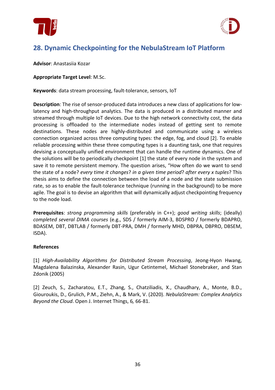



### **28. Dynamic Checkpointing for the NebulaStream IoT Platform**

**Advisor**: Anastasiia Kozar

**Appropriate Target Level**: M.Sc.

**Keywords**: data stream processing, fault-tolerance, sensors, IoT

**Description**: The rise of sensor-produced data introduces a new class of applications for lowlatency and high-throughput analytics. The data is produced in a distributed manner and streamed through multiple IoT devices. Due to the high network connectivity cost, the data processing is offloaded to the intermediate nodes instead of getting sent to remote destinations. These nodes are highly-distributed and communicate using a wireless connection organized across three computing types: the edge, fog, and cloud [2]. To enable reliable processing within these three computing types is a daunting task, one that requires devising a conceptually unified environment that can handle the runtime dynamics. One of the solutions will be to periodically checkpoint [1] the state of every node in the system and save it to remote persistent memory. The question arises, "How often do we want to send the state of a node? *every time it changes*? *in a given time period*? *after every x tuples*? This thesis aims to define the connection between the load of a node and the state submission rate, so as to enable the fault-tolerance technique (running in the background) to be more agile. The goal is to devise an algorithm that will dynamically adjust checkpointing frequency to the node load.

**Prerequisites**: *strong programming skills* (preferably in C++); *good writing skills*; (ideally) *completed several DIMA courses* (e.g., SDS / formerly AIM-3, BDSPRO / formerly BDAPRO, BDASEM, DBT, DBTLAB / formerly DBT-PRA, DMH / formerly MHD, DBPRA, DBPRO, DBSEM, ISDA).

#### **References**

[1] *High-Availability Algorithms for Distributed Stream Processing*, Jeong-Hyon Hwang, Magdalena Balazinska, Alexander Rasin, Ugur Cetintemel, Michael Stonebraker, and Stan Zdonik (2005)

[2] Zeuch, S., Zacharatou, E.T., Zhang, S., Chatziliadis, X., Chaudhary, A., Monte, B.D., Giouroukis, D., Grulich, P.M., Ziehn, A., & Mark, V. (2020). *NebulaStream: Complex Analytics Beyond the Cloud*. Open J. Internet Things, 6*,* 66-81.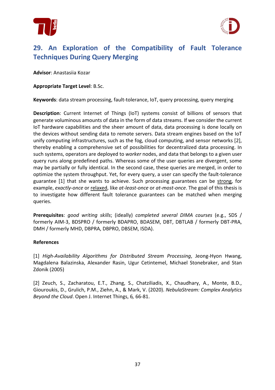



# **29. An Exploration of the Compatibility of Fault Tolerance Techniques During Query Merging**

**Advisor**: Anastasiia Kozar

### **Appropriate Target Level**: B.Sc.

**Keywords**: data stream processing, fault-tolerance, IoT, query processing, query merging

**Description**: Current Internet of Things (IoT) systems consist of billions of sensors that generate voluminous amounts of data in the form of data streams. If we consider the current IoT hardware capabilities and the sheer amount of data, data processing is done locally on the devices without sending data to remote servers. Data stream engines based on the IoT unify computing infrastructures, such as the fog, cloud computing, and sensor networks [2], thereby enabling a comprehensive set of possibilities for decentralized data processing. In such systems, operators are deployed to *worker* nodes, and data that belongs to a given user query runs along predefined paths. Whereas some of the user queries are divergent, some may be partially or fully identical. In the second case, these queries are merged, in order to optimize the system throughput. Yet, for every query, a user can specify the fault-tolerance guarantee [1] that she wants to achieve. Such processing guarantees can be strong, for example, *exactly-once* or relaxed, like *at-least-once* or *at-most-once*. The goal of this thesis is to investigate how different fault tolerance guarantees can be matched when merging queries.

**Prerequisites**: *good writing skills*; (ideally) *completed several DIMA courses* (e.g., SDS / formerly AIM-3, BDSPRO / formerly BDAPRO, BDASEM, DBT, DBTLAB / formerly DBT-PRA, DMH / formerly MHD, DBPRA, DBPRO, DBSEM, ISDA).

#### **References**

[1] *High-Availability Algorithms for Distributed Stream Processing*, Jeong-Hyon Hwang, Magdalena Balazinska, Alexander Rasin, Ugur Cetintemel, Michael Stonebraker, and Stan Zdonik (2005)

[2] Zeuch, S., Zacharatou, E.T., Zhang, S., Chatziliadis, X., Chaudhary, A., Monte, B.D., Giouroukis, D., Grulich, P.M., Ziehn, A., & Mark, V. (2020). *NebulaStream: Complex Analytics Beyond the Cloud*. Open J. Internet Things, 6*,* 66-81.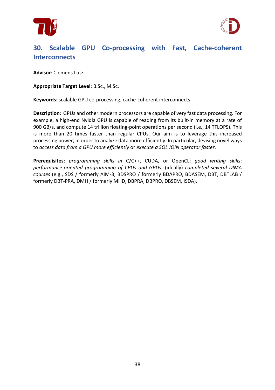



# **30. Scalable GPU Co-processing with Fast, Cache-coherent Interconnects**

**Advisor**: Clemens Lutz

**Appropriate Target Level**: B.Sc., M.Sc.

**Keywords**: scalable GPU co-processing, cache-coherent interconnects

**Description**: GPUs and other modern processors are capable of very fast data processing. For example, a high-end Nvidia GPU is capable of reading from its built-in memory at a rate of 900 GB/s, and compute 14 trillion floating-point operations per second (i.e., 14 TFLOPS). This is more than 20 times faster than regular CPUs. Our aim is to leverage this increased processing power, in order to analyze data more efficiently. In particular, devising novel ways to *access data from a GPU more efficiently* or *execute a SQL JOIN operator faster*.

**Prerequisites**: *programming skills in* C/C++, CUDA, or OpenCL; *good writing skills*; *performance-oriented programming of CPUs and GPUs*; (ideally) *completed several DIMA courses* (e.g., SDS / formerly AIM-3, BDSPRO / formerly BDAPRO, BDASEM, DBT, DBTLAB / formerly DBT-PRA, DMH / formerly MHD, DBPRA, DBPRO, DBSEM, ISDA).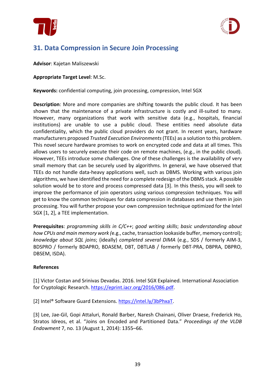



# **31. Data Compression in Secure Join Processing**

**Advisor**: Kajetan Maliszewski

### **Appropriate Target Level**: M.Sc.

**Keywords:** confidential computing, join processing, compression, Intel SGX

**Description**: More and more companies are shifting towards the public cloud. It has been shown that the maintenance of a private infrastructure is costly and ill-suited to many. However, many organizations that work with sensitive data (e.g., hospitals, financial institutions) are unable to use a public cloud. These entities need absolute data confidentiality, which the public cloud providers do not grant. In recent years, hardware manufacturers proposed *Trusted Execution Environments*(TEEs) as a solution to this problem. This novel secure hardware promises to work on encrypted code and data at all times. This allows users to securely execute their code on remote machines, (e.g., in the public cloud). However, TEEs introduce some challenges. One of these challenges is the availability of very small memory that can be securely used by algorithms. In general, we have observed that TEEs do not handle data-heavy applications well, such as DBMS. Working with various join algorithms, we have identified the need for a complete redesign of the DBMS stack. A possible solution would be to store and process compressed data [3]. In this thesis, you will seek to improve the performance of join operators using various compression techniques. You will get to know the common techniques for data compression in databases and use them in join processing. You will further propose your own compression technique optimized for the Intel SGX [1, 2], a TEE implementation.

**Prerequisites**: *programming skills in C/C++*; *good writing skills*; *basic understanding about how CPUs and main memory work (*e.g., cache, transaction lookaside buffer, memory control); *knowledge about SQL joins*; (ideally) *completed several DIMA* (e.g., SDS / formerly AIM-3, BDSPRO / formerly BDAPRO, BDASEM, DBT, DBTLAB / formerly DBT-PRA, DBPRA, DBPRO, DBSEM, ISDA).

### **References**

[1] Victor Costan and Srinivas Devadas. 2016. Intel SGX Explained. International Association for Cryptologic Research. https://eprint.iacr.org/2016/086.pdf.

[2] Intel® Software Guard Extensions. https://intel.ly/3bPhxaT.

[3] Lee, Jae-Gil, Gopi Attaluri, Ronald Barber, Naresh Chainani, Oliver Draese, Frederick Ho, Stratos Idreos, et al. "Joins on Encoded and Partitioned Data." *Proceedings of the VLDB Endowment* 7, no. 13 (August 1, 2014): 1355–66.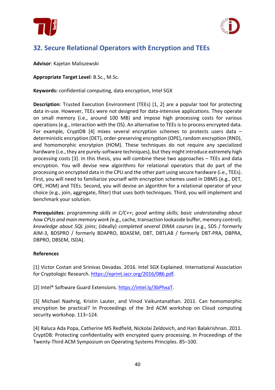



### **32. Secure Relational Operators with Encryption and TEEs**

**Advisor**: Kajetan Maliszewski

**Appropriate Target Level**: B.Sc., M.Sc.

**Keywords:** confidential computing, data encryption, Intel SGX

**Description**: Trusted Execution Environment (TEEs) [1, 2] are a popular tool for protecting data in-use. However, TEEs were not designed for data-intensive applications. They operate on small memory (i.e., around 100 MB) and impose high processing costs for various operations (e.g., interaction with the OS). An alternative to TEEs is to process encrypted data. For example, CryptDB [4] mixes several encryption schemes to protects users data – deterministic encryption (DET), order-preserving encryption (OPE), random encryption (RND), and homomorphic encrytpion (HOM). These techniques do not require any specialized hardware (i.e., they are purely-software techniques), but they might introduce extremely high processing costs [3]. In this thesis, you will combine these two approaches – TEEs and data encryption. You will devise new algorithms for relational operators that do part of the processing on encrypted data in the CPU and the other part using secure hardware (i.e., TEEs). First, you will need to familiarize yourself with encryption schemes used in DBMS (e.g., DET, OPE, HOM) and TEEs. Second, you will devise an algorithm for a relational operator of your choice (e.g., join, aggregate, filter) that uses both techniques. Third, you will implement and benchmark your solution.

**Prerequisites**: *programming skills in C/C++*; *good writing skills*; *basic understanding about how CPUs and main memory work (*e.g., cache, transaction lookaside buffer, memory control); *knowledge about SQL joins*; (ideally) *completed several DIMA courses* (e.g., SDS / formerly AIM-3, BDSPRO / formerly BDAPRO, BDASEM, DBT, DBTLAB / formerly DBT-PRA, DBPRA, DBPRO, DBSEM, ISDA).

#### **References**

[1] Victor Costan and Srinivas Devadas. 2016. Intel SGX Explained. International Association for Cryptologic Research. https://eprint.iacr.org/2016/086.pdf.

[2] Intel® Software Guard Extensions. https://intel.ly/3bPhxaT.

[3] Michael Naehrig, Kristin Lauter, and Vinod Vaikuntanathan. 2011. Can homomorphic encryption be practical? In Proceedings of the 3rd ACM workshop on Cloud computing security workshop. 113–124.

[4] Raluca Ada Popa, Catherine MS Redfield, Nickolai Zeldovich, and Hari Balakrishnan. 2011. CryptDB: Protecting confidentiality with encrypted query processing. In Proceedings of the Twenty-Third ACM Symposium on Operating Systems Principles. 85–100.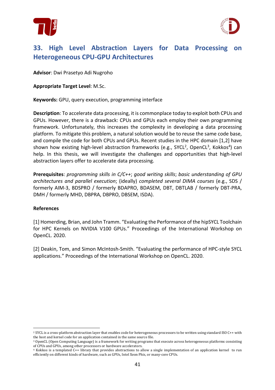



## **33. High Level Abstraction Layers for Data Processing on Heterogeneous CPU-GPU Architectures**

**Advisor**: Dwi Prasetyo Adi Nugroho

**Appropriate Target Level**: M.Sc.

**Keywords:** GPU, query execution, programming interface

**Description**: To accelerate data processing, it is commonplace today to exploit both CPUs and GPUs. However, there is a drawback: CPUs and GPUs each employ their own programming framework. Unfortunately, this increases the complexity in developing a data processing platform. To mitigate this problem, a natural solution would be to reuse the same code base, and compile the code for both CPUs and GPUs. Recent studies in the HPC domain [1,2] have shown how existing high-level abstraction frameworks (e.g., SYCL<sup>2</sup>, OpenCL<sup>3</sup>, Kokkos<sup>4</sup>) can help. In this thesis, we will investigate the challenges and opportunities that high-level abstraction layers offer to accelerate data processing.

**Prerequisites**: *programming skills in C/C++*; *good writing skills*; *basic understanding of GPU architectures and parallel execution*; (ideally) *completed several DIMA courses* (e.g., SDS / formerly AIM-3, BDSPRO / formerly BDAPRO, BDASEM, DBT, DBTLAB / formerly DBT-PRA, DMH / formerly MHD, DBPRA, DBPRO, DBSEM, ISDA).

#### **References**

[1] Homerding, Brian, and John Tramm. "Evaluating the Performance of the hipSYCL Toolchain for HPC Kernels on NVIDIA V100 GPUs." Proceedings of the International Workshop on OpenCL. 2020.

[2] Deakin, Tom, and Simon McIntosh-Smith. "Evaluating the performance of HPC-style SYCL applications." Proceedings of the International Workshop on OpenCL. 2020.

<sup>&</sup>lt;sup>2</sup> SYCL is a cross-platform abstraction layer that enables code for heterogeneous processors to be written using standard ISO C++ with the host and kernel code for an application contained in the same source file.

<sup>&</sup>lt;sup>3</sup> OpenCL (Open Computing Language) is a framework for writing programs that execute across heterogeneous platforms consisting of CPUs and GPUs, among other processors or hardware accelerators.

<sup>&</sup>lt;sup>4</sup> Kokkos is a templated C++ library that provides abstractions to allow a single implementation of an application kernel to run efficiently on different kinds of hardware, such as GPUs, Intel Xeon Phis, or many-core CPUs.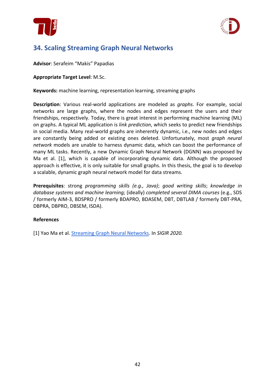



# **34. Scaling Streaming Graph Neural Networks**

**Advisor**: Serafeim "Makis" Papadias

**Appropriate Target Level**: M.Sc.

**Keywords:** machine learning, representation learning, streaming graphs

**Description**: Various real-world applications are modeled as *graphs*. For example, social networks are large graphs, where the nodes and edges represent the users and their friendships, respectively. Today, there is great interest in performing machine learning (ML) on graphs. A typical ML application is *link prediction*, which seeks to predict new friendships in social media. Many real-world graphs are inherently dynamic, i.e., new nodes and edges are constantly being added or existing ones deleted. Unfortunately, most *graph neural network* models are unable to harness dynamic data, which can boost the performance of many ML tasks. Recently, a new Dynamic Graph Neural Network (DGNN) was proposed by Ma et al. [1], which is capable of incorporating dynamic data. Although the proposed approach is effective, it is only suitable for small graphs. In this thesis, the goal is to develop a scalable, dynamic graph neural network model for data streams.

**Prerequisites**: strong *programming skills (e.g., Java)*; *good writing skills*; *knowledge in database systems and machine learning;* (ideally) *completed several DIMA courses* (e.g., SDS / formerly AIM-3, BDSPRO / formerly BDAPRO, BDASEM, DBT, DBTLAB / formerly DBT-PRA, DBPRA, DBPRO, DBSEM, ISDA).

### **References**

[1] Yao Ma et al. Streaming Graph Neural Networks. In *SIGIR 2020.*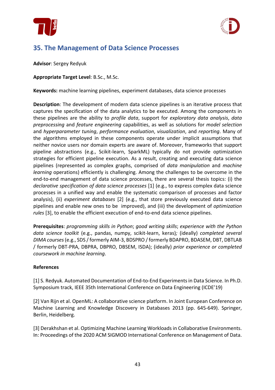



### **35. The Management of Data Science Processes**

**Advisor**: Sergey Redyuk

**Appropriate Target Level**: B.Sc., M.Sc.

**Keywords:** machine learning pipelines, experiment databases, data science processes

**Description**: The development of modern data science pipelines is an iterative process that captures the specification of the data analytics to be executed. Among the components in these pipelines are the ability to *profile data*, support for *exploratory data analysis*, *data preprocessing* and *feature engineering* capabilities, as well as solutions for *model selection* and *hyperparameter tuning*, *performance evaluation*, *visualization*, and *reporting*. Many of the algorithms employed in these components operate under implicit assumptions that neither novice users nor domain experts are aware of. Moreover, frameworks that support pipeline abstractions (e.g., Scikit-learn, SparkML) typically do not provide optimization strategies for efficient pipeline execution. As a result, creating and executing data science pipelines (represented as complex graphs, comprised of *data manipulation* and *machine learning* operations) efficiently is challenging. Among the challenges to be overcome in the end-to-end management of data science processes, there are several thesis topics: (i) the *declarative specification of data science processes* [1] (e.g., to express complex data science processes in a unified way and enable the systematic comparison of processes and factor analysis), (ii) *experiment databases* [2] (e.g., that store previously executed data science pipelines and enable new ones to be improved), and (iii) the development of *optimization rules* [3], to enable the efficient execution of end-to-end data science pipelines.

**Prerequisites**: *programming skills in Python*; *good writing skills*; *experience with the Python data science toolkit* (e.g., pandas, numpy, scikit-learn, keras)*;* (ideally) *completed several DIMA courses*(e.g., SDS / formerly AIM-3, BDSPRO / formerly BDAPRO, BDASEM, DBT, DBTLAB / formerly DBT-PRA, DBPRA, DBPRO, DBSEM, ISDA); (ideally) *prior experience or completed coursework in machine learning*.

### **References**

[1] S. Redyuk. Automated Documentation of End-to-End Experiments in Data Science. In Ph.D. Symposium track, IEEE 35th International Conference on Data Engineering (ICDE'19)

[2] Van Rijn et al. OpenML: A collaborative science platform. In Joint European Conference on Machine Learning and Knowledge Discovery in Databases 2013 (pp. 645-649). Springer, Berlin, Heidelberg.

[3] Derakhshan et al. Optimizing Machine Learning Workloads in Collaborative Environments. In: Proceedings of the 2020 ACM SIGMOD International Conference on Management of Data.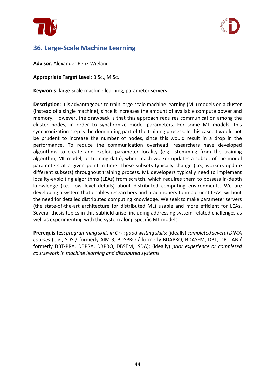



# **36. Large-Scale Machine Learning**

**Advisor**: Alexander Renz-Wieland

**Appropriate Target Level**: B.Sc., M.Sc.

**Keywords:** large-scale machine learning, parameter servers

**Description**: It is advantageous to train large-scale machine learning (ML) models on a cluster (instead of a single machine), since it increases the amount of available compute power and memory. However, the drawback is that this approach requires communication among the cluster nodes, in order to synchronize model parameters. For some ML models, this synchronization step is the dominating part of the training process. In this case, it would not be prudent to increase the number of nodes, since this would result in a drop in the performance. To reduce the communication overhead, researchers have developed algorithms to create and exploit parameter locality (e.g., stemming from the training algorithm, ML model, or training data), where each worker updates a subset of the model parameters at a given point in time. These subsets typically change (i.e., workers update different subsets) throughout training process. ML developers typically need to implement locality-exploiting algorithms (LEAs) from scratch, which requires them to possess in-depth knowledge (i.e., low level details) about distributed computing environments. We are developing a system that enables researchers and practitioners to implement LEAs, without the need for detailed distributed computing knowledge. We seek to make parameter servers (the state-of-the-art architecture for distributed ML) usable and more efficient for LEAs. Several thesis topics in this subfield arise, including addressing system-related challenges as well as experimenting with the system along specific ML models.

**Prerequisites**: *programming skills in C++*; *good writing skills*; (ideally) *completed several DIMA courses* (e.g., SDS / formerly AIM-3, BDSPRO / formerly BDAPRO, BDASEM, DBT, DBTLAB / formerly DBT-PRA, DBPRA, DBPRO, DBSEM, ISDA); (ideally) *prior experience or completed coursework in machine learning and distributed systems*.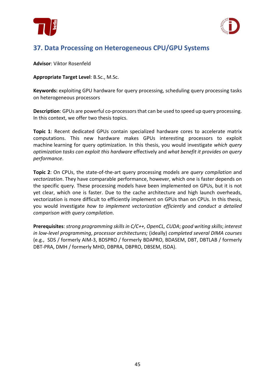



### **37. Data Processing on Heterogeneous CPU/GPU Systems**

**Advisor**: Viktor Rosenfeld

**Appropriate Target Level**: B.Sc., M.Sc.

**Keywords:** exploiting GPU hardware for query processing, scheduling query processing tasks on heterogeneous processors

**Description**: GPUs are powerful co-processors that can be used to speed up query processing. In this context, we offer two thesis topics.

**Topic 1**: Recent dedicated GPUs contain specialized hardware cores to accelerate matrix computations. This new hardware makes GPUs interesting processors to exploit machine learning for query optimization. In this thesis, you would investigate *which query optimization tasks can exploit this hardware* effectively and *what benefit it provides on query performance*.

**Topic 2**: On CPUs, the state-of-the-art query processing models are *query compilation* and *vectorization*. They have comparable performance, however, which one is faster depends on the specific query. These processing models have been implemented on GPUs, but it is not yet clear, which one is faster. Due to the cache architecture and high launch overheads, vectorization is more difficult to efficiently implement on GPUs than on CPUs. In this thesis, you would investigate *how to implement vectorization efficiently* and *conduct a detailed comparison with query compilation*.

**Prerequisites**:*strong programming skills in C/C++, OpenCL, CUDA*; *good writing skills*; *interest in low-level programming*, *processor architectures;* (ideally) *completed several DIMA courses* (e.g., SDS / formerly AIM-3, BDSPRO / formerly BDAPRO, BDASEM, DBT, DBTLAB / formerly DBT-PRA, DMH / formerly MHD, DBPRA, DBPRO, DBSEM, ISDA).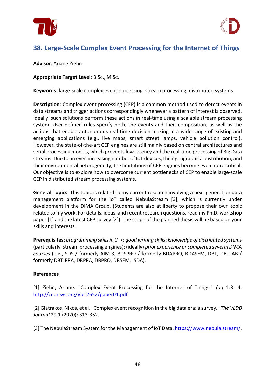



### **38. Large-Scale Complex Event Processing for the Internet of Things**

**Advisor**: Ariane Ziehn

**Appropriate Target Level**: B.Sc., M.Sc.

**Keywords:** large-scale complex event processing, stream processing, distributed systems

**Description**: Complex event processing (CEP) is a common method used to detect events in data streams and trigger actions correspondingly whenever a pattern of interest is observed. Ideally, such solutions perform these actions in real-time using a scalable stream processing system. User-defined rules specify both, the events and their composition, as well as the actions that enable autonomous real-time decision making in a wide range of existing and emerging applications (e.g., live maps, smart street lamps, vehicle pollution control). However, the state-of-the-art CEP engines are still mainly based on central architectures and serial processing models, which prevents low-latency and the real-time processing of Big Data streams. Due to an ever-increasing number of IoT devices, their geographical distribution, and their environmental heterogeneity, the limitations of CEP engines become even more critical. Our objective is to explore how to overcome current bottlenecks of CEP to enable large-scale CEP in distributed stream processing systems.

**General Topics**: This topic is related to my current research involving a next-generation data management platform for the IoT called NebulaStream [3], which is currently under development in the DIMA Group. (Students are also at liberty to propose their own topic related to my work. For details, ideas, and recent research questions, read my Ph.D. workshop paper [1] and the latest CEP survey [2]). The scope of the planned thesis will be based on your skills and interests.

**Prerequisites**: *programming skills in C++*; *good writing skills*; *knowledge of distributed systems*  (particularly, stream processing engines); (ideally) *prior experience or completed several DIMA courses* (e.g., SDS / formerly AIM-3, BDSPRO / formerly BDAPRO, BDASEM, DBT, DBTLAB / formerly DBT-PRA, DBPRA, DBPRO, DBSEM, ISDA).

### **References**

[1] Ziehn, Ariane. "Complex Event Processing for the Internet of Things." *fog* 1.3: 4. http://ceur-ws.org/Vol-2652/paper01.pdf.

[2] Giatrakos, Nikos, et al. "Complex event recognition in the big data era: a survey." *The VLDB Journal* 29.1 (2020): 313-352.

[3] The NebulaStream System for the Management of IoT Data. https://www.nebula.stream/.